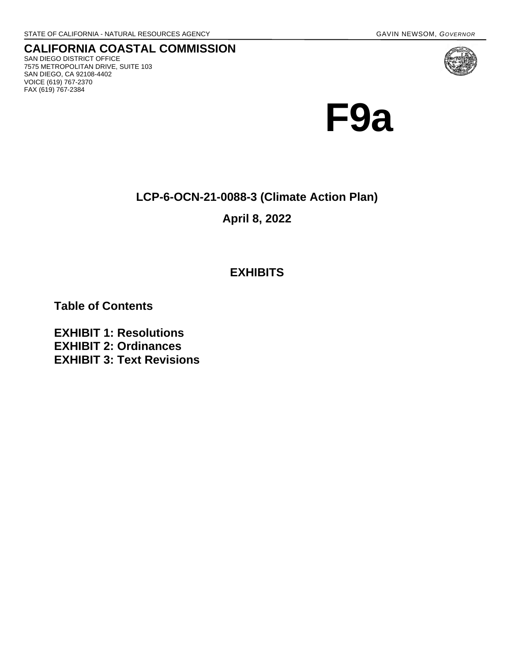**CALIFORNIA COASTAL COMMISSION** SAN DIEGO DISTRICT OFFICE 7575 METROPOLITAN DRIVE, SUITE 103 SAN DIEGO, CA 92108-4402 VOICE (619) 767-2370 FAX (619) 767-2384



**LCP-6-OCN-21-0088-3 (Climate Action Plan)** 

**April 8, 2022** 

# **EXHIBITS**

**Table of Contents**

**EXHIBIT 1: Resolutions EXHIBIT 2: Ordinances EXHIBIT 3: Text Revisions**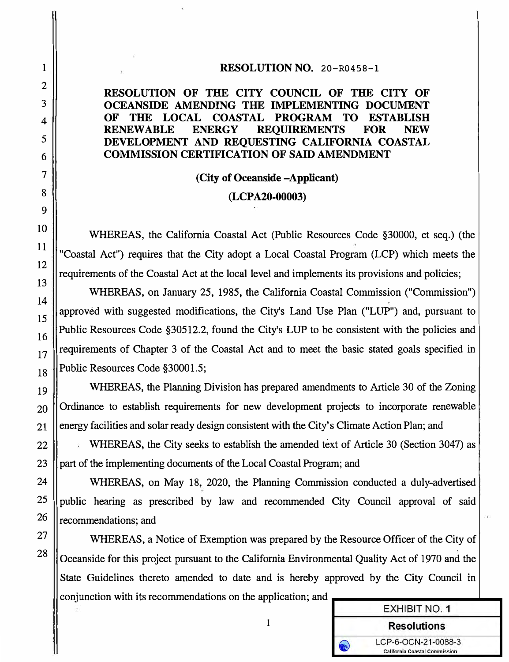#### **RESOLUTION NO.** 20-R0458-l

### **RESOLUTION OF THE CITY COUNCIL OF THE CITY OF OCEANSIDE AMENDING THE IMPLEMENTING DOCUMENT OF THE LOCAL COASTAL PROGRAM TO ESTABLISH RENEWABLE ENERGY REQUIREMENTS FOR NEW DEVELOPMENT AND REQUESTING CALIFORNIA COASTAL COMMISSION CERTIFICATION OF SAID AMENDMENT**

### **(City of Oceanside -Applicant)**

#### **(LCP A20-00003)**

WHEREAS, the California Coastal Act (Public Resources Code §30000, et seq.) (the "Coastal Act") requires that the City adopt a Local Coastal Program (LCP) which meets the requirements of the Coastal Act at the local level and implements its provisions and policies;

WHEREAS, on January 25, 1985, the California Coastal Commission ("Commission") approved with suggested modifications, the City's Land Use Plan ("LUP") and, pursuant to 16 Public Resources Code §30512.2, found the City's LUP to be consistent with the policies and  $\begin{array}{c|c|c|c|c|c} \hline 17 & \hline \end{array}$  requirements of Chapter 3 of the Coastal Act and to meet the basic stated goals specified in  $_{18}$  ||Public Resources Code §30001.5;

19 WHEREAS, the Planning Division has prepared amendments to Article 30 of the Zoning 20 ||Ordinance to establish requirements for new development projects to incorporate renewable  $21$  ||energy facilities and solar ready design consistent with the City's Climate Action Plan; and

22 WHEREAS, the City seeks to establish the amended text of Article 30 (Section 3047) as 23 || part of the implementing documents of the Local Coastal Program; and

24 | WHEREAS, on May 18, 2020, the Planning Commission conducted a duly-advertised  $25$  public hearing as prescribed by law and recommended City Council approval of said  $26$  ||recommendations; and

WHEREAS, a Notice of Exemption was prepared by the Resource Officer of the City of Oceanside for this project pursuant to the California Environmental Quality Act of 1970 and the State Guidelines thereto amended to date and is hereby approved by the City Council in conjunction with its recommendations on the application; and

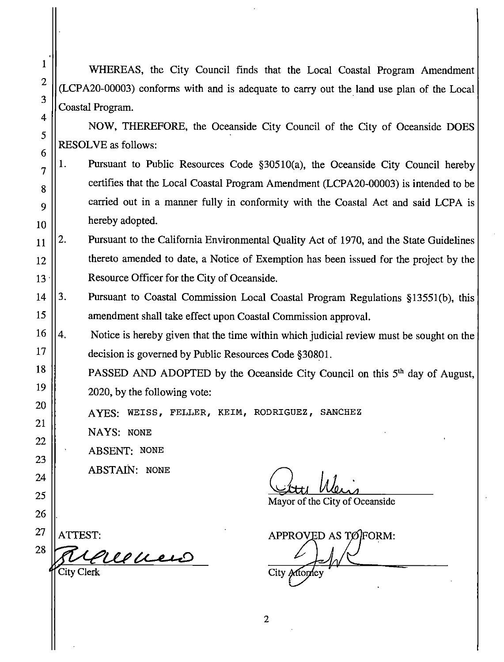WHEREAS, the City Council finds that the Local Coastal Program Amendment (LCPA20-00003) conforms with and is adequate to carry out the land use plan of the Local Coastal Program.

NOW, THEREFORE, the Oceanside City Council of the City of Oceanside DOES **RESOLVE** as follows:

- 1. Pursuant to Public Resources Code §30510(a), the Oceanside City Council hereby  $\overline{7}$ certifies that the Local Coastal Program Amendment (LCPA20-00003) is intended to be 8 carried out in a manner fully in conformity with the Coastal Act and said LCPA is 9 hereby adopted. 10
- $2.$ Pursuant to the California Environmental Quality Act of 1970, and the State Guidelines 11 thereto amended to date, a Notice of Exemption has been issued for the project by the 12 Resource Officer for the City of Oceanside. 13
- 3. Pursuant to Coastal Commission Local Coastal Program Regulations §13551(b), this 14 15 amendment shall take effect upon Coastal Commission approval.
- 16 4. Notice is hereby given that the time within which judicial review must be sought on the 17 decision is governed by Public Resources Code §30801.
	- PASSED AND ADOPTED by the Oceanside City Council on this 5<sup>th</sup> day of August, 2020, by the following vote:
		- AYES: WEISS, FELLER, KEIM, RODRIGUEZ, SANCHEZ
		- NAYS: NONE

 $\mathbf{1}$ 

 $\overline{2}$ 

3

 $\overline{4}$ 

5

6

18

19

20

21

22

23

24

25

26

27

28

**ABSENT: NONE** 

**ABSTAIN: NONE** 

Mayor of the City of Oceanside

APPROVED AS TØFORM: City Attorney

Concrero .<br>City Clerk

ATTEST:

 $\overline{2}$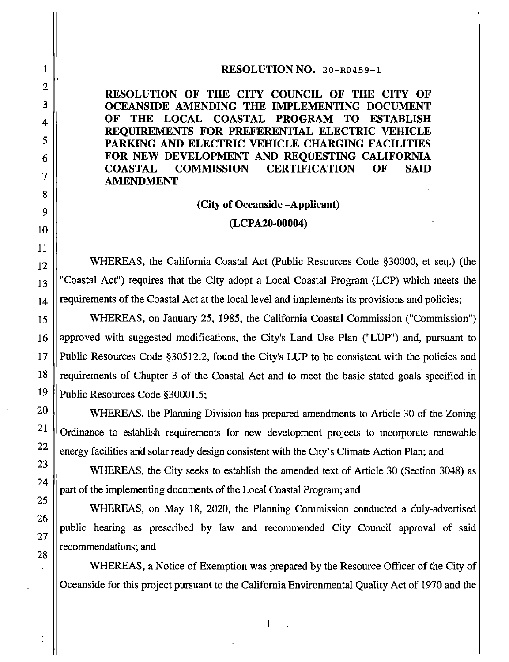#### RESOLUTION NO. 20-R0459-1

RESOLUTION OF THE CITY COUNCIL OF THE CITY OF OCEANSIDE AMENDING THE IMPLEMENTING DOCUMENT OF THE LOCAL COASTAL PROGRAM TO ESTABLISH REOUIREMENTS FOR PREFERENTIAL ELECTRIC VEHICLE PARKING AND ELECTRIC VEHICLE CHARGING FACILITIES FOR NEW DEVELOPMENT AND REOUESTING CALIFORNIA **COMMISSION CERTIFICATION COASTAL** OF **SAID AMENDMENT** 

#### (City of Oceanside -Applicant)

#### (LCPA20-00004)

WHEREAS, the California Coastal Act (Public Resources Code §30000, et seq.) (the "Coastal Act") requires that the City adopt a Local Coastal Program (LCP) which meets the requirements of the Coastal Act at the local level and implements its provisions and policies;

WHEREAS, on January 25, 1985, the California Coastal Commission ("Commission") approved with suggested modifications, the City's Land Use Plan ("LUP") and, pursuant to Public Resources Code §30512.2, found the City's LUP to be consistent with the policies and requirements of Chapter 3 of the Coastal Act and to meet the basic stated goals specified in Public Resources Code §30001.5;

WHEREAS, the Planning Division has prepared amendments to Article 30 of the Zoning Ordinance to establish requirements for new development projects to incorporate renewable energy facilities and solar ready design consistent with the City's Climate Action Plan; and

WHEREAS, the City seeks to establish the amended text of Article 30 (Section 3048) as part of the implementing documents of the Local Coastal Program; and

WHEREAS, on May 18, 2020, the Planning Commission conducted a duly-advertised public hearing as prescribed by law and recommended City Council approval of said recommendations; and

WHEREAS, a Notice of Exemption was prepared by the Resource Officer of the City of Oceanside for this project pursuant to the California Environmental Quality Act of 1970 and the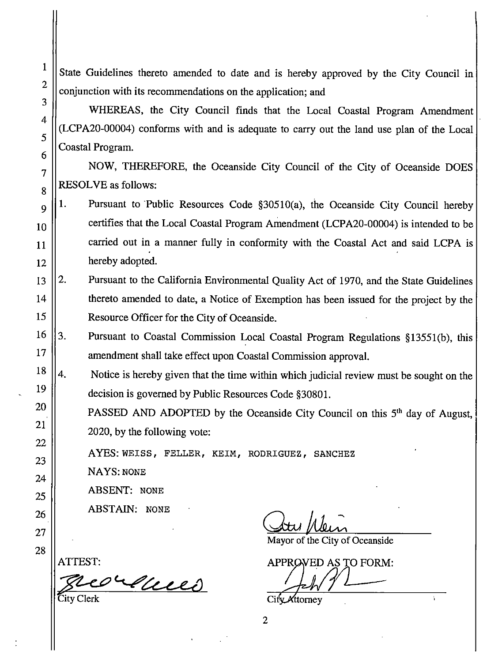State Guidelines thereto amended to date and is hereby approved by the City Council in conjunction with its recommendations on the application; and

WHEREAS, the City Council finds that the Local Coastal Program Amendment (LCPA20-00004) conforms with and is adequate to carry out the land use plan of the Local Coastal Program.

NOW, THEREFORE, the Oceanside City Council of the City of Oceanside DOES **RESOLVE** as follows:

- 1. Pursuant to Public Resources Code §30510(a), the Oceanside City Council hereby certifies that the Local Coastal Program Amendment (LCPA20-00004) is intended to be carried out in a manner fully in conformity with the Coastal Act and said LCPA is hereby adopted.
- $2.$ Pursuant to the California Environmental Quality Act of 1970, and the State Guidelines thereto amended to date, a Notice of Exemption has been issued for the project by the Resource Officer for the City of Oceanside.
- $3.$ Pursuant to Coastal Commission Local Coastal Program Regulations §13551(b), this amendment shall take effect upon Coastal Commission approval.
- $4.$ Notice is hereby given that the time within which judicial review must be sought on the decision is governed by Public Resources Code §30801.

PASSED AND ADOPTED by the Oceanside City Council on this 5<sup>th</sup> day of August, 2020, by the following vote:

AYES: WEISS, FELLER, KEIM, RODRIGUEZ, SANCHEZ

**NAYS: NONE** 

**ABSENT: NONE** 

**ABSTAIN: NONE** 

Mayor of the City of Oceanside

APPROVED AS TO FORM:

City Attorney

 $\overline{2}$ 

5 6  $\overline{7}$ 8 9 10 11 12 13 14 15 16 17 18 19 20 21 22 23 24 25 26 27 28

 $\mathbf{1}$ 

 $\overline{2}$ 

3

 $\overline{4}$ 

ATTEST:

corduces City Clerk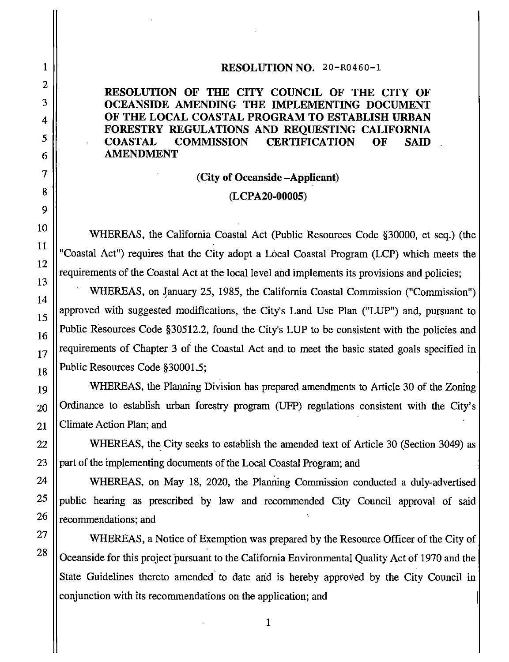#### RESOLUTION NO. 20-R0460-1

#### RESOLUTION OF THE CITY COUNCIL OF THE CITY OF OCEANSIDE AMENDING THE IMPLEMENTING DOCUMENT OF THE LOCAL COASTAL PROGRAM TO ESTABLISH URBAN FORESTRY REGULATIONS AND REQUESTING CALIFORNIA **COASTAL COMMISSION CERTIFICATION** OF SAID **AMENDMENT**

# (City of Oceanside -Applicant) (LCPA20-00005)

WHEREAS, the California Coastal Act (Public Resources Code §30000, et seq.) (the "Coastal Act") requires that the City adopt a Local Coastal Program (LCP) which meets the requirements of the Coastal Act at the local level and implements its provisions and policies:

WHEREAS, on January 25, 1985, the California Coastal Commission ("Commission") approved with suggested modifications, the City's Land Use Plan ("LUP") and, pursuant to Public Resources Code §30512.2, found the City's LUP to be consistent with the policies and requirements of Chapter 3 of the Coastal Act and to meet the basic stated goals specified in Public Resources Code §30001.5;

WHEREAS, the Planning Division has prepared amendments to Article 30 of the Zoning Ordinance to establish urban forestry program (UFP) regulations consistent with the City's Climate Action Plan; and

WHEREAS, the City seeks to establish the amended text of Article 30 (Section 3049) as part of the implementing documents of the Local Coastal Program; and

WHEREAS, on May 18, 2020, the Planning Commission conducted a duly-advertised public hearing as prescribed by law and recommended City Council approval of said recommendations; and

WHEREAS, a Notice of Exemption was prepared by the Resource Officer of the City of Oceanside for this project pursuant to the California Environmental Quality Act of 1970 and the State Guidelines thereto amended to date and is hereby approved by the City Council in conjunction with its recommendations on the application; and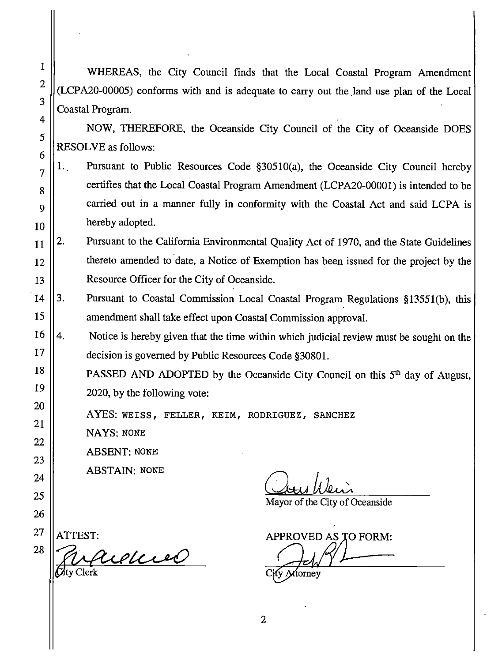WHEREAS, the City Council finds that the Local Coastal Program Amendment (LCPA20-00005) conforms with and is adequate to carry out the land use plan of the Local Coastal Program.

NOW, THEREFORE, the Oceanside City Council of the City of Oceanside DOES **RESOLVE** as follows:

- Pursuant to Public Resources Code §30510(a), the Oceanside City Council hereby  $1.$ certifies that the Local Coastal Program Amendment (LCPA20-00001) is intended to be carried out in a manner fully in conformity with the Coastal Act and said LCPA is hereby adopted.
- 2. Pursuant to the California Environmental Quality Act of 1970, and the State Guidelines thereto amended to date, a Notice of Exemption has been issued for the project by the Resource Officer for the City of Oceanside.
- $3.$ Pursuant to Coastal Commission Local Coastal Program Regulations §13551(b), this amendment shall take effect upon Coastal Commission approval.
- 4. Notice is hereby given that the time within which judicial review must be sought on the decision is governed by Public Resources Code §30801.
	- PASSED AND ADOPTED by the Oceanside City Council on this 5<sup>th</sup> day of August, 2020, by the following vote:

AYES: WEISS, FELLER, KEIM, RODRIGUEZ, SANCHEZ

**NAYS: NONE** 

**ABSENT: NONE** 

**ABSTAIN: NONE** 

Mayor of the City of Oceanside

APPROVED AS TO FORM:

ttornev

 $\mathbf{1}$ 

 $\overline{2}$ 

3

ATTEST:

audius Clerk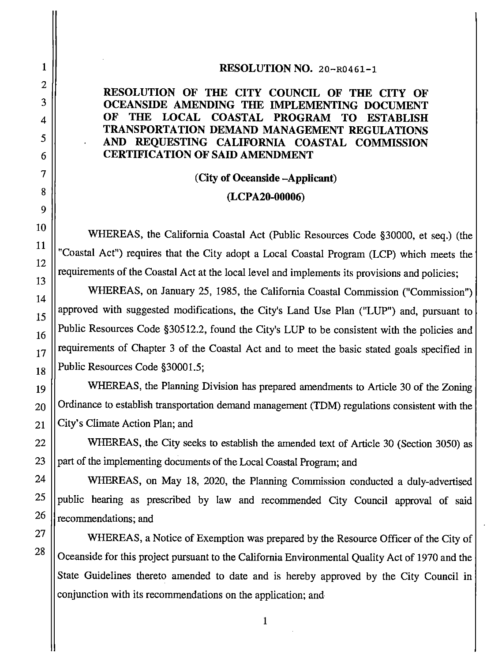#### RESOLUTION NO. 20-R0461-1

#### RESOLUTION OF THE CITY COUNCIL OF THE CITY OF OCEANSIDE AMENDING THE IMPLEMENTING DOCUMENT OF THE LOCAL COASTAL PROGRAM **TO ESTABLISH TRANSPORTATION DEMAND MANAGEMENT REGULATIONS** AND REQUESTING CALIFORNIA COASTAL COMMISSION **CERTIFICATION OF SAID AMENDMENT**

# (City of Oceanside -Applicant)

#### $(LCPA20-00006)$

WHEREAS, the California Coastal Act (Public Resources Code §30000, et seq.) (the "Coastal Act") requires that the City adopt a Local Coastal Program (LCP) which meets the requirements of the Coastal Act at the local level and implements its provisions and policies;

WHEREAS, on January 25, 1985, the California Coastal Commission ("Commission") approved with suggested modifications, the City's Land Use Plan ("LUP") and, pursuant to Public Resources Code §30512.2, found the City's LUP to be consistent with the policies and requirements of Chapter 3 of the Coastal Act and to meet the basic stated goals specified in Public Resources Code §30001.5;

WHEREAS, the Planning Division has prepared amendments to Article 30 of the Zoning Ordinance to establish transportation demand management (TDM) regulations consistent with the City's Climate Action Plan; and

WHEREAS, the City seeks to establish the amended text of Article 30 (Section 3050) as part of the implementing documents of the Local Coastal Program; and

WHEREAS, on May 18, 2020, the Planning Commission conducted a duly-advertised public hearing as prescribed by law and recommended City Council approval of said recommendations; and

WHEREAS, a Notice of Exemption was prepared by the Resource Officer of the City of Oceanside for this project pursuant to the California Environmental Quality Act of 1970 and the State Guidelines thereto amended to date and is hereby approved by the City Council in conjunction with its recommendations on the application; and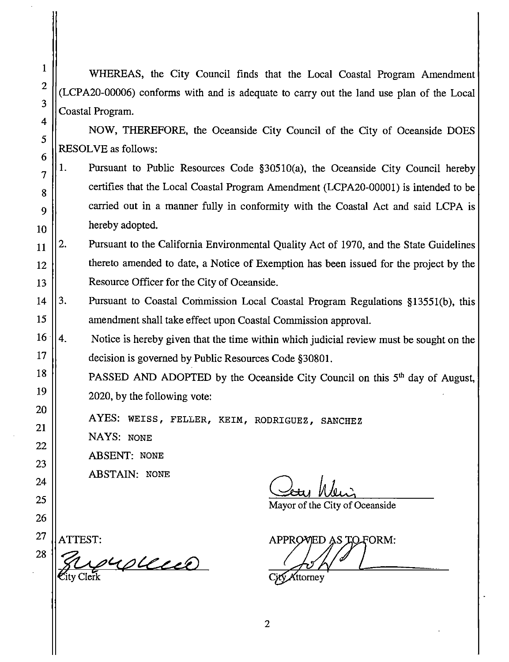WHEREAS, the City Council finds that the Local Coastal Program Amendment (LCPA20-00006) conforms with and is adequate to carry out the land use plan of the Local Coastal Program.

NOW, THEREFORE, the Oceanside City Council of the City of Oceanside DOES **RESOLVE** as follows:

- $1.$ Pursuant to Public Resources Code §30510(a), the Oceanside City Council hereby certifies that the Local Coastal Program Amendment (LCPA20-00001) is intended to be carried out in a manner fully in conformity with the Coastal Act and said LCPA is hereby adopted. 10
- $2.$ Pursuant to the California Environmental Quality Act of 1970, and the State Guidelines 11 thereto amended to date, a Notice of Exemption has been issued for the project by the 12 Resource Officer for the City of Oceanside. 13
- 14 3. Pursuant to Coastal Commission Local Coastal Program Regulations §13551(b), this amendment shall take effect upon Coastal Commission approval.
	- $\overline{4}$ Notice is hereby given that the time within which judicial review must be sought on the decision is governed by Public Resources Code §30801.
		- PASSED AND ADOPTED by the Oceanside City Council on this 5<sup>th</sup> day of August. 2020, by the following vote:
			- AYES: WEISS, FELLER, KEIM, RODRIGUEZ, SANCHEZ
			- NAYS: NONE
			- **ABSENT: NONE**

**ABSTAIN: NONE** 

Mayor of the City of Oceanside

APPROVIED AS TO FORM:

VAttorney

27

28

 $\mathbf{1}$ 

 $\overline{2}$ 

 $\overline{\mathbf{3}}$ 

 $\overline{4}$ 

5

6

 $\overline{7}$ 

8

9

ATTEST:

yupleced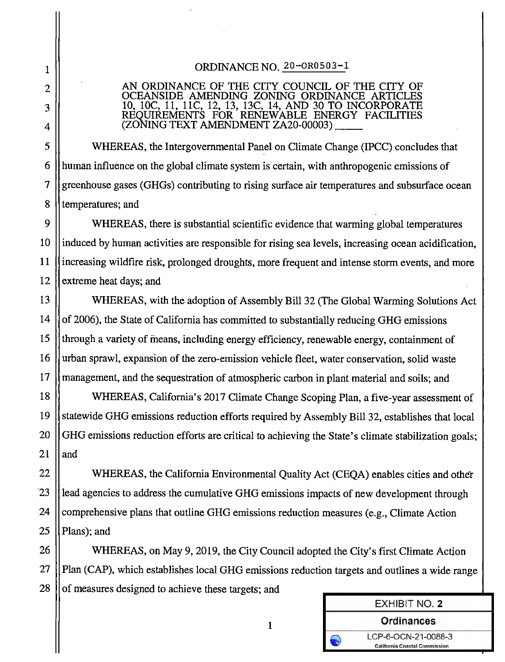### ORDINANCE NO. 20-OR0503-1

# AN ORDINANCE OF THE CITY COUNCIL OF THE CITY OF CEANSIDE AMENDING ZONING ORDINANCE ARTIC 10, 10C, 11, 11C, 12, 13, 13C, 14, AND 30 TO INCORPORATE<br>REQUIREMENTS FOR RENEWABLE ENERGY FACILITIES<br>(ZONING TEXT AMENDMENT ZA20-00003)

WHEREAS, the Intergovernmental Panel on Climate Change (IPCC) concludes that human influence on the global climate system is certain, with anthropogenic emissions of greenhouse gases (GHGs) contributing to rising surface air temperatures and subsurface ocean temperatures; and

WHEREAS, there is substantial scientific evidence that warming global temperatures induced by human activities are responsible for rising sea levels, increasing ocean acidification, increasing wildfire risk, prolonged droughts, more frequent and intense storm events, and more extreme heat days; and

WHEREAS, with the adoption of Assembly Bill 32 (The Global Warming Solutions Act) of 2006), the State of California has committed to substantially reducing GHG emissions through a variety of means, including energy efficiency, renewable energy, containment of urban sprawl, expansion of the zero-emission vehicle fleet, water conservation, solid waste management, and the sequestration of atmospheric carbon in plant material and soils; and

WHEREAS, California's 2017 Climate Change Scoping Plan, a five-year assessment of statewide GHG emissions reduction efforts required by Assembly Bill 32, establishes that local GHG emissions reduction efforts are critical to achieving the State's climate stabilization goals; and

WHEREAS, the California Environmental Quality Act (CEQA) enables cities and other lead agencies to address the cumulative GHG emissions impacts of new development through comprehensive plans that outline GHG emissions reduction measures (e.g., Climate Action Plans); and

WHEREAS, on May 9, 2019, the City Council adopted the City's first Climate Action Plan (CAP), which establishes local GHG emissions reduction targets and outlines a wide range of measures designed to achieve these targets; and

| <b>EXHIBIT NO. 2</b>                                        |  |
|-------------------------------------------------------------|--|
| <b>Ordinances</b>                                           |  |
| LCP-6-OCN-21-0088-3<br><b>California Coastal Commission</b> |  |

 $\mathbf{1}$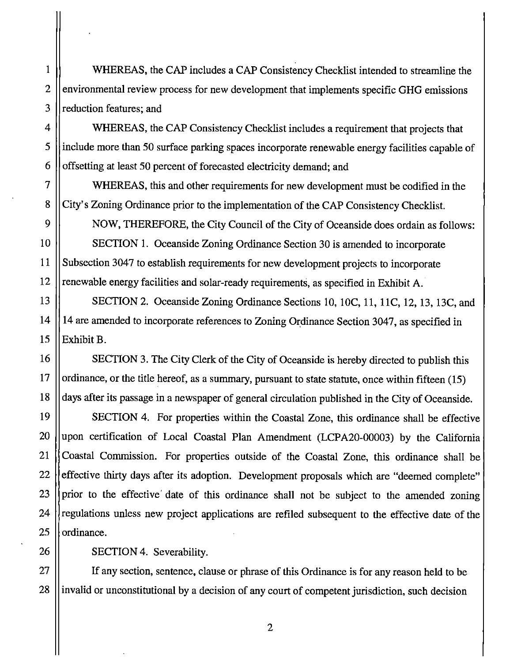WHEREAS, the CAP includes a CAP Consistency Checklist intended to streamline the environmental review process for new development that implements specific GHG emissions reduction features; and

WHEREAS, the CAP Consistency Checklist includes a requirement that projects that include more than 50 surface parking spaces incorporate renewable energy facilities capable of offsetting at least 50 percent of forecasted electricity demand; and

WHEREAS, this and other requirements for new development must be codified in the City's Zoning Ordinance prior to the implementation of the CAP Consistency Checklist.

NOW, THEREFORE, the City Council of the City of Oceanside does ordain as follows: SECTION 1. Oceanside Zoning Ordinance Section 30 is amended to incorporate Subsection 3047 to establish requirements for new development projects to incorporate renewable energy facilities and solar-ready requirements, as specified in Exhibit A.

SECTION 2. Oceanside Zoning Ordinance Sections 10, 10C, 11, 11C, 12, 13, 13C, and 14 are amended to incorporate references to Zoning Ordinance Section 3047, as specified in Exhibit B.

SECTION 3. The City Clerk of the City of Oceanside is hereby directed to publish this ordinance, or the title hereof, as a summary, pursuant to state statute, once within fifteen (15) days after its passage in a newspaper of general circulation published in the City of Oceanside.

SECTION 4. For properties within the Coastal Zone, this ordinance shall be effective upon certification of Local Coastal Plan Amendment (LCPA20-00003) by the California Coastal Commission. For properties outside of the Coastal Zone, this ordinance shall be effective thirty days after its adoption. Development proposals which are "deemed complete" prior to the effective date of this ordinance shall not be subject to the amended zoning regulations unless new project applications are refiled subsequent to the effective date of the ordinance.

SECTION 4. Severability.

If any section, sentence, clause or phrase of this Ordinance is for any reason held to be invalid or unconstitutional by a decision of any court of competent jurisdiction, such decision

 $\overline{2}$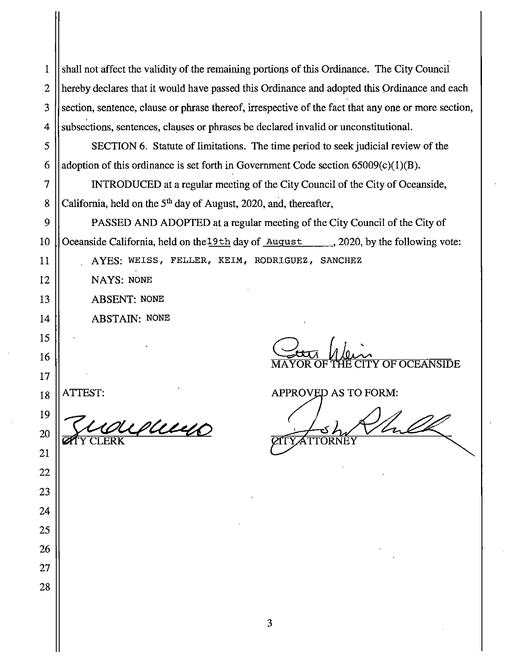shall not affect the validity of the remaining portions of this Ordinance. The City Council 1  $\overline{2}$ hereby declares that it would have passed this Ordinance and adopted this Ordinance and each 3 section, sentence, clause or phrase thereof, irrespective of the fact that any one or more section, subsections, sentences, clauses or phrases be declared invalid or unconstitutional.  $\overline{4}$ 

SECTION 6. Statute of limitations. The time period to seek judicial review of the adoption of this ordinance is set forth in Government Code section  $65009(c)(1)(B)$ .

INTRODUCED at a regular meeting of the City Council of the City of Oceanside, California, held on the 5<sup>th</sup> day of August, 2020, and, thereafter,

PASSED AND ADOPTED at a regular meeting of the City Council of the City of Oceanside California, held on the 19th day of August 10. 2020, by the following vote:

AYES: WEISS, FELLER, KEIM, RODRIGUEZ, SANCHEZ

NAYS: NONE

**ABSENT: NONE** 

**ABSTAIN: NONE** 

ATTEST:

5

6

 $\overline{7}$ 

8

9

10

11

12

13

14

15

16

17

18

19

20

21

22

23

24

25

26

27

28

dum **CLERK** 

APPROVED AS TO FORM:

**OF OCEANSIDE**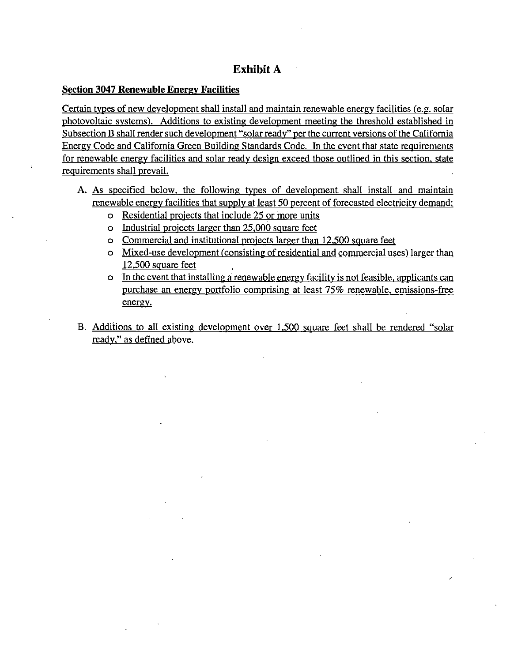# **Exhibit A**

#### **Section 3047 Renewable Energy Facilities**

Certain types of new development shall install and maintain renewable energy facilities (e.g. solar photovoltaic systems). Additions to existing development meeting the threshold established in Subsection B shall render such development "solar ready" per the current versions of the California Energy Code and California Green Building Standards Code. In the event that state requirements for renewable energy facilities and solar ready design exceed those outlined in this section, state requirements shall prevail.

- A. As specified below, the following types of development shall install and maintain renewable energy facilities that supply at least 50 percent of forecasted electricity demand:
	- o Residential projects that include 25 or more units
	- o Industrial projects larger than 25,000 square feet
	- o Commercial and institutional projects larger than 12,500 square feet
	- o Mixed-use development (consisting of residential and commercial uses) larger than  $12,500$  square feet
	- o In the event that installing a renewable energy facility is not feasible, applicants can purchase an energy portfolio comprising at least 75% renewable, emissions-free energy.
- B. Additions to all existing development over 1,500 square feet shall be rendered "solar ready," as defined above.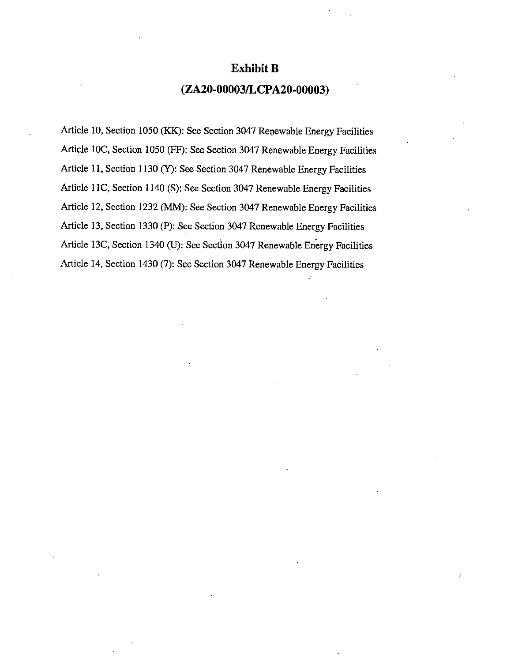#### **Exhibit B**

## (ZA20-00003/LCPA20-00003)

Article 10, Section 1050 (KK): See Section 3047 Renewable Energy Facilities Article 10C, Section 1050 (FF): See Section 3047 Renewable Energy Facilities Article 11, Section 1130 (Y): See Section 3047 Renewable Energy Facilities Article 11C, Section 1140 (S): See Section 3047 Renewable Energy Facilities Article 12, Section 1232 (MM): See Section 3047 Renewable Energy Facilities Article 13, Section 1330 (P): See Section 3047 Renewable Energy Facilities Article 13C, Section 1340 (U): See Section 3047 Renewable Energy Facilities Article 14, Section 1430 (7): See Section 3047 Renewable Energy Facilities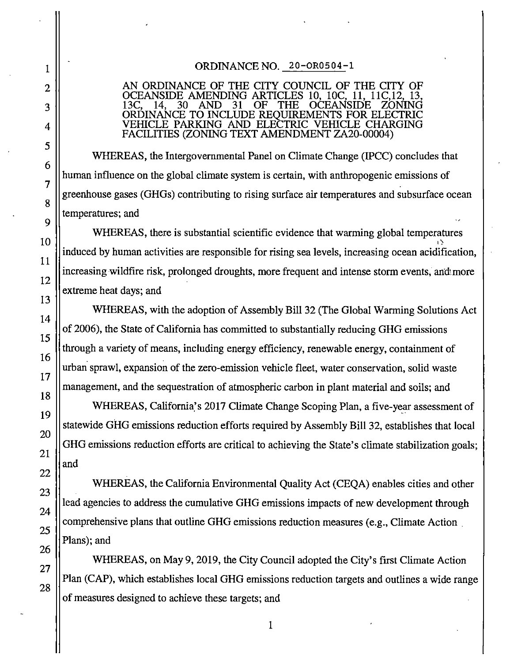# 1  $\overline{2}$ 3  $\overline{4}$ 5 6  $\overline{7}$ 8 9 10 11 12 13 14 15 16 17 18 19 20 21 22 23 24 25 26 27 28

#### ORDINANCE NO. 20-OR0504-1

#### AN ORDINANCE OF THE CITY COUNCIL OF THE CITY OF OCEANSIDE AMENDING ARTICLES 10, 10C. 11. 11C 12  $30<sup>°</sup>$ **AND** 31 OF 14. **THE OCEANSIDE** ORDINANCE TO INCLUDE REQUIREMENTS FOR ELECTRIC<br>VEHICLE PARKING AND ELECTRIC VEHICLE CHARGING FACILITIES (ZONING TEXT AMENDMENT ZA20-00004)

WHEREAS, the Intergovernmental Panel on Climate Change (IPCC) concludes that human influence on the global climate system is certain, with anthropogenic emissions of greenhouse gases (GHGs) contributing to rising surface air temperatures and subsurface ocean temperatures; and

WHEREAS, there is substantial scientific evidence that warming global temperatures induced by human activities are responsible for rising sea levels, increasing ocean acidification, increasing wildfire risk, prolonged droughts, more frequent and intense storm events, and more extreme heat days; and

WHEREAS, with the adoption of Assembly Bill 32 (The Global Warming Solutions Act) of 2006), the State of California has committed to substantially reducing GHG emissions through a variety of means, including energy efficiency, renewable energy, containment of urban sprawl, expansion of the zero-emission vehicle fleet, water conservation, solid waste management, and the sequestration of atmospheric carbon in plant material and soils; and

WHEREAS, California's 2017 Climate Change Scoping Plan, a five-year assessment of statewide GHG emissions reduction efforts required by Assembly Bill 32, establishes that local GHG emissions reduction efforts are critical to achieving the State's climate stabilization goals; and

WHEREAS, the California Environmental Quality Act (CEOA) enables cities and other lead agencies to address the cumulative GHG emissions impacts of new development through comprehensive plans that outline GHG emissions reduction measures (e.g., Climate Action). Plans); and

WHEREAS, on May 9, 2019, the City Council adopted the City's first Climate Action Plan (CAP), which establishes local GHG emissions reduction targets and outlines a wide range of measures designed to achieve these targets; and

 $\mathbf{1}$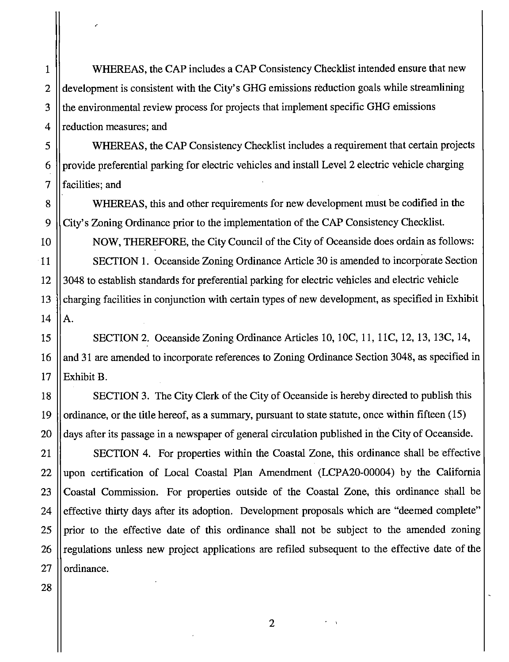WHEREAS, the CAP includes a CAP Consistency Checklist intended ensure that new development is consistent with the City's GHG emissions reduction goals while streamlining the environmental review process for projects that implement specific GHG emissions reduction measures; and

WHEREAS, the CAP Consistency Checklist includes a requirement that certain projects provide preferential parking for electric vehicles and install Level 2 electric vehicle charging facilities; and

WHEREAS, this and other requirements for new development must be codified in the City's Zoning Ordinance prior to the implementation of the CAP Consistency Checklist.

NOW, THEREFORE, the City Council of the City of Oceanside does ordain as follows: SECTION 1. Oceanside Zoning Ordinance Article 30 is amended to incorporate Section 3048 to establish standards for preferential parking for electric vehicles and electric vehicle charging facilities in conjunction with certain types of new development, as specified in Exhibit A.

SECTION 2. Oceanside Zoning Ordinance Articles 10, 10C, 11, 11C, 12, 13, 13C, 14, and 31 are amended to incorporate references to Zoning Ordinance Section 3048, as specified in Exhibit B.

18 SECTION 3. The City Clerk of the City of Oceanside is hereby directed to publish this 19 ordinance, or the title hereof, as a summary, pursuant to state statute, once within fifteen (15) 20 days after its passage in a newspaper of general circulation published in the City of Oceanside.

SECTION 4. For properties within the Coastal Zone, this ordinance shall be effective upon certification of Local Coastal Plan Amendment (LCPA20-00004) by the California Coastal Commission. For properties outside of the Coastal Zone, this ordinance shall be effective thirty days after its adoption. Development proposals which are "deemed complete" prior to the effective date of this ordinance shall not be subject to the amended zoning regulations unless new project applications are refiled subsequent to the effective date of the ordinance.

28

 $\mathbf{1}$ 

 $\overline{2}$ 

3

 $\overline{4}$ 

5

6

 $\overline{7}$ 

8

9

10

11

12

13

 $14$ 

15

16

17

21

22

23

 $\overline{2}$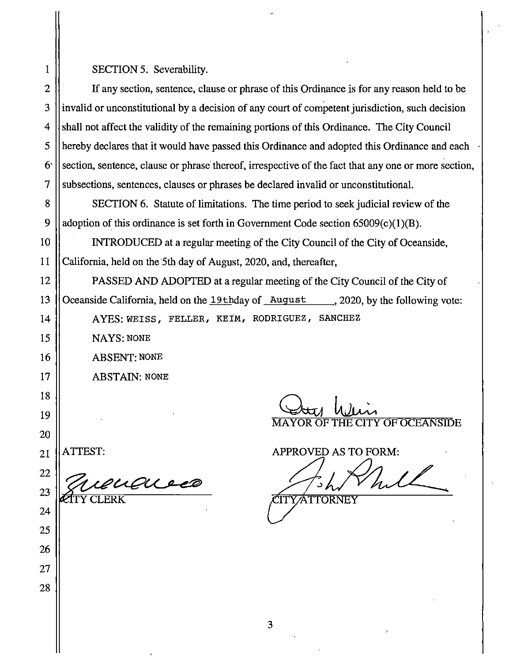SECTION 5. Severability.

If any section, sentence, clause or phrase of this Ordinance is for any reason held to be invalid or unconstitutional by a decision of any court of competent jurisdiction, such decision shall not affect the validity of the remaining portions of this Ordinance. The City Council hereby declares that it would have passed this Ordinance and adopted this Ordinance and each section, sentence, clause or phrase thereof, irrespective of the fact that any one or more section, subsections, sentences, clauses or phrases be declared invalid or unconstitutional.

SECTION 6. Statute of limitations. The time period to seek judicial review of the adoption of this ordinance is set forth in Government Code section  $65009(c)(1)(B)$ .

INTRODUCED at a regular meeting of the City Council of the City of Oceanside, California, held on the 5th day of August, 2020, and, thereafter,

PASSED AND ADOPTED at a regular meeting of the City Council of the City of Oceanside California, held on the 19thday of August 1, 2020, by the following vote: AYES: WEISS, FELLER, KEIM, RODRIGUEZ, SANCHEZ

**NAYS: NONE** 

**ABSENT: NONE** 

ATTEST:

**ABSTAIN: NONE** 

mendered

Y OF OCEANSIDE

APPROVED AS TO FORM:

**ITYATTORNEY** 

3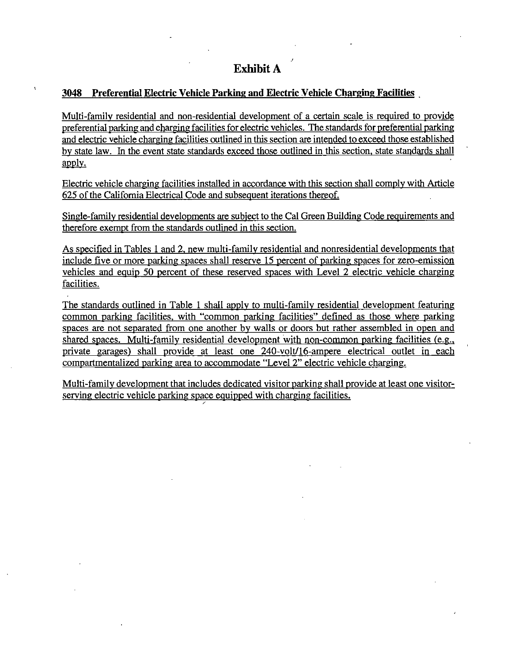#### 3048 Preferential Electric Vehicle Parking and Electric Vehicle Charging Facilities

Multi-family residential and non-residential development of a certain scale is required to provide preferential parking and charging facilities for electric vehicles. The standards for preferential parking and electric vehicle charging facilities outlined in this section are intended to exceed those established by state law. In the event state standards exceed those outlined in this section, state standards shall apply.

Electric vehicle charging facilities installed in accordance with this section shall comply with Article 625 of the California Electrical Code and subsequent iterations thereof.

Single-family residential developments are subject to the Cal Green Building Code requirements and therefore exempt from the standards outlined in this section.

As specified in Tables 1 and 2, new multi-family residential and nonresidential developments that include five or more parking spaces shall reserve 15 percent of parking spaces for zero-emission vehicles and equip 50 percent of these reserved spaces with Level 2 electric vehicle charging facilities.

The standards outlined in Table 1 shall apply to multi-family residential development featuring common parking facilities, with "common parking facilities" defined as those where parking spaces are not separated from one another by walls or doors but rather assembled in open and shared spaces. Multi-family residential development with non-common parking facilities (e.g., private garages) shall provide at least one 240-volt/16-ampere electrical outlet in each compartmentalized parking area to accommodate "Level 2" electric vehicle charging.

Multi-family development that includes dedicated visitor parking shall provide at least one visitorserving electric vehicle parking space equipped with charging facilities.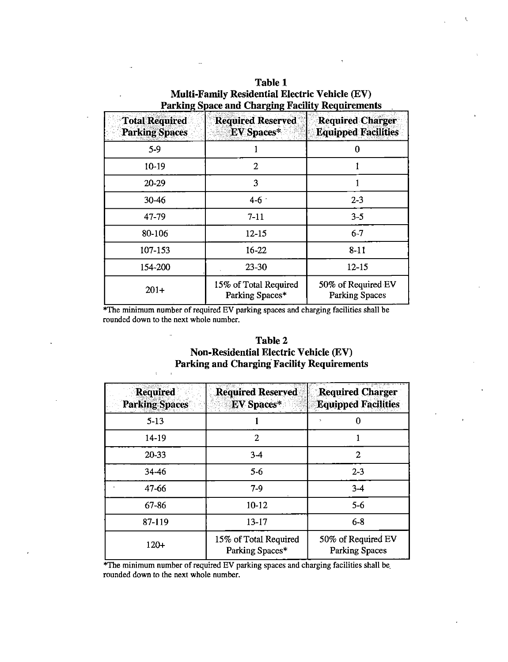| Table 1                                                 |
|---------------------------------------------------------|
| <b>Multi-Family Residential Electric Vehicle (EV)</b>   |
| <b>Parking Space and Charging Facility Requirements</b> |

 $\mathbf{t}$ 

| <b>Total Required</b><br><b>Parking Spaces</b> | <b>Required Reserved</b><br>${\rm EV}$ Spaces $^*$ | <b>Required Charger</b><br><b>Equipped Facilities</b> |
|------------------------------------------------|----------------------------------------------------|-------------------------------------------------------|
| $5-9$                                          |                                                    | 0                                                     |
| $10 - 19$                                      | 2                                                  |                                                       |
| 20-29                                          | 3                                                  |                                                       |
| $30 - 46$                                      | $4 - 6$                                            | $2 - 3$                                               |
| 47-79                                          | $7 - 11$                                           | $3 - 5$                                               |
| 80-106                                         | $12 - 15$                                          | $6 - 7$                                               |
| 107-153                                        | $16 - 22$                                          | $8 - 11$                                              |
| 154-200                                        | $23 - 30$                                          | $12 - 15$                                             |
| $201+$                                         | 15% of Total Required<br>Parking Spaces*           | 50% of Required EV<br><b>Parking Spaces</b>           |

l.

\*The minimum number of required EV parking spaces and charging facilities shall be rounded down to the next whole number.

L.

 $\chi$  $\ddot{\phantom{a}}$ 

| <b>Table 2</b>                                    |
|---------------------------------------------------|
| <b>Non-Residential Electric Vehicle (EV)</b>      |
| <b>Parking and Charging Facility Requirements</b> |

| <b>Required</b><br><b>Parking Spaces</b> | <b>Required Reserved</b><br><b>EV</b> Spaces* | <b>Required Charger</b><br><b>Equipped Facilities</b> |
|------------------------------------------|-----------------------------------------------|-------------------------------------------------------|
| $5 - 13$                                 |                                               |                                                       |
| 14-19                                    | 2                                             |                                                       |
| 20-33                                    | $3-4$                                         | 2                                                     |
| 34-46                                    | $5-6$                                         | $2 - 3$                                               |
| 47-66                                    | $7-9$                                         | $3-4$                                                 |
| 67-86                                    | $10 - 12$                                     | $5-6$                                                 |
| 87-119                                   | $13 - 17$                                     | $6 - 8$                                               |
| $120+$                                   | 15% of Total Required<br>Parking Spaces*      | 50% of Required EV<br><b>Parking Spaces</b>           |

\*The minimum number of required EV parking spaces and charging facilities shall be rounded down to the next whole number.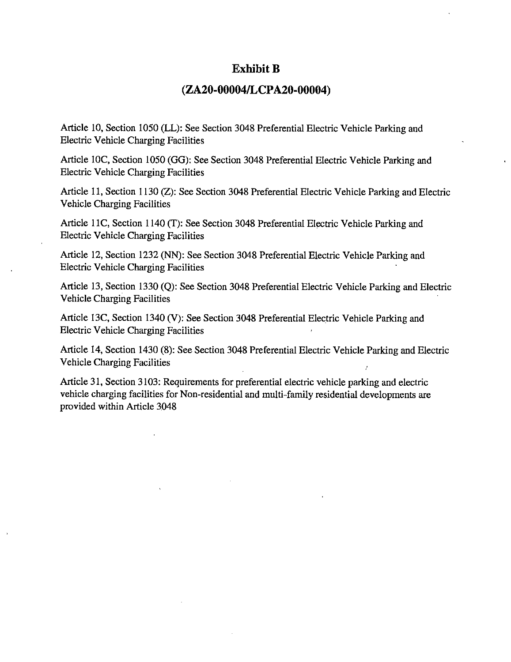## **Exhibit B**

### (ZA20-00004/LCPA20-00004)

Article 10, Section 1050 (LL): See Section 3048 Preferential Electric Vehicle Parking and **Electric Vehicle Charging Facilities** 

Article 10C, Section 1050 (GG): See Section 3048 Preferential Electric Vehicle Parking and **Electric Vehicle Charging Facilities** 

Article 11, Section 1130 (Z): See Section 3048 Preferential Electric Vehicle Parking and Electric **Vehicle Charging Facilities** 

Article 11C, Section 1140 (T): See Section 3048 Preferential Electric Vehicle Parking and **Electric Vehicle Charging Facilities** 

Article 12, Section 1232 (NN): See Section 3048 Preferential Electric Vehicle Parking and **Electric Vehicle Charging Facilities** 

Article 13, Section 1330 (Q): See Section 3048 Preferential Electric Vehicle Parking and Electric **Vehicle Charging Facilities** 

Article 13C, Section 1340 (V): See Section 3048 Preferential Electric Vehicle Parking and **Electric Vehicle Charging Facilities** 

Article 14, Section 1430 (8): See Section 3048 Preferential Electric Vehicle Parking and Electric **Vehicle Charging Facilities** 

Article 31, Section 3103: Requirements for preferential electric vehicle parking and electric vehicle charging facilities for Non-residential and multi-family residential developments are provided within Article 3048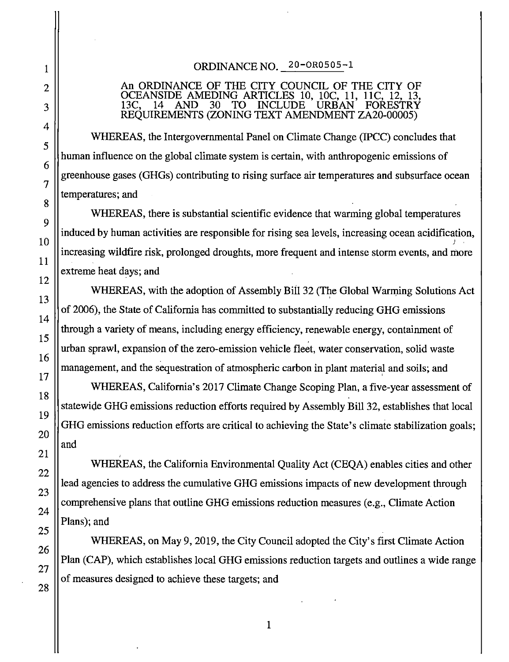# ORDINANCE NO. 20-OR0505-1

#### An ORDINANCE OF THE CITY COUNCIL OF THE CITY OF OCEANSIDE AMEDING ARTICLES 10, 10C, 11, 11C. TO<sup>-</sup> **INCLUDE**  $13C.$ **AND** 30 **URBAN FORESTRY** REQUIREMENTS (ZONING TEXT AMENDMENT ZA20-00005)

WHEREAS, the Intergovernmental Panel on Climate Change (IPCC) concludes that human influence on the global climate system is certain, with anthropogenic emissions of greenhouse gases (GHGs) contributing to rising surface air temperatures and subsurface ocean temperatures; and

WHEREAS, there is substantial scientific evidence that warming global temperatures induced by human activities are responsible for rising sea levels, increasing ocean acidification, increasing wildfire risk, prolonged droughts, more frequent and intense storm events, and more extreme heat days; and

WHEREAS, with the adoption of Assembly Bill 32 (The Global Warming Solutions Act of 2006), the State of California has committed to substantially reducing GHG emissions through a variety of means, including energy efficiency, renewable energy, containment of urban sprawl, expansion of the zero-emission vehicle fleet, water conservation, solid waste management, and the sequestration of atmospheric carbon in plant material and soils; and

WHEREAS, California's 2017 Climate Change Scoping Plan, a five-year assessment of statewide GHG emissions reduction efforts required by Assembly Bill 32, establishes that local GHG emissions reduction efforts are critical to achieving the State's climate stabilization goals; and

WHEREAS, the California Environmental Quality Act (CEQA) enables cities and other lead agencies to address the cumulative GHG emissions impacts of new development through comprehensive plans that outline GHG emissions reduction measures (e.g., Climate Action Plans); and

WHEREAS, on May 9, 2019, the City Council adopted the City's first Climate Action Plan (CAP), which establishes local GHG emissions reduction targets and outlines a wide range of measures designed to achieve these targets; and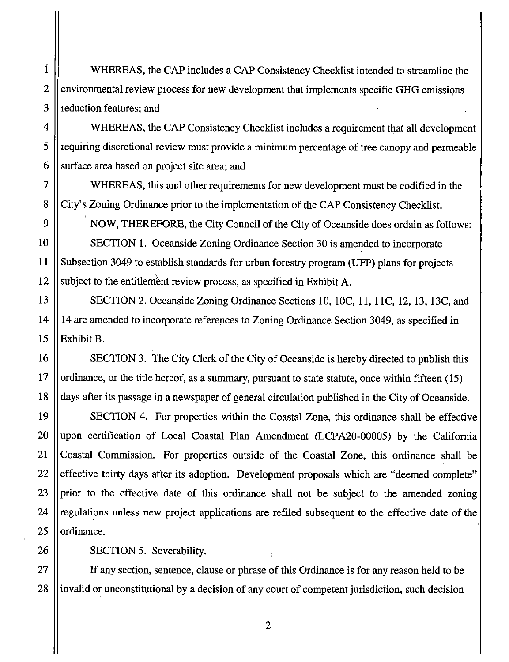22

23

24

25

26

27

28

 $\overline{\mathbf{1}}$ 

 $\overline{2}$ 

WHEREAS, the CAP includes a CAP Consistency Checklist intended to streamline the environmental review process for new development that implements specific GHG emissions reduction features; and

WHEREAS, the CAP Consistency Checklist includes a requirement that all development requiring discretional review must provide a minimum percentage of tree canopy and permeable surface area based on project site area; and

WHEREAS, this and other requirements for new development must be codified in the City's Zoning Ordinance prior to the implementation of the CAP Consistency Checklist.

NOW, THEREFORE, the City Council of the City of Oceanside does ordain as follows: SECTION 1. Oceanside Zoning Ordinance Section 30 is amended to incorporate Subsection 3049 to establish standards for urban forestry program (UFP) plans for projects subject to the entitlement review process, as specified in Exhibit A.

SECTION 2. Oceanside Zoning Ordinance Sections 10, 10C, 11, 11C, 12, 13, 13C, and 14 are amended to incorporate references to Zoning Ordinance Section 3049, as specified in Exhibit B.

SECTION 3. The City Clerk of the City of Oceanside is hereby directed to publish this ordinance, or the title hereof, as a summary, pursuant to state statute, once within fifteen (15) days after its passage in a newspaper of general circulation published in the City of Oceanside.

SECTION 4. For properties within the Coastal Zone, this ordinance shall be effective upon certification of Local Coastal Plan Amendment (LCPA20-00005) by the California Coastal Commission. For properties outside of the Coastal Zone, this ordinance shall be effective thirty days after its adoption. Development proposals which are "deemed complete" prior to the effective date of this ordinance shall not be subject to the amended zoning regulations unless new project applications are refiled subsequent to the effective date of the ordinance.

SECTION 5. Severability.

If any section, sentence, clause or phrase of this Ordinance is for any reason held to be invalid or unconstitutional by a decision of any court of competent jurisdiction, such decision

 $\overline{2}$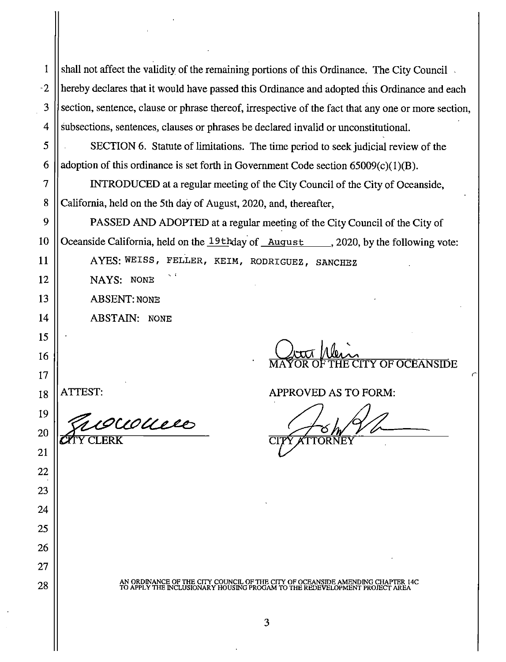| 1    | shall not affect the validity of the remaining portions of this Ordinance. The City Council                                                               |
|------|-----------------------------------------------------------------------------------------------------------------------------------------------------------|
| $-2$ | hereby declares that it would have passed this Ordinance and adopted this Ordinance and each                                                              |
| 3    | section, sentence, clause or phrase thereof, irrespective of the fact that any one or more section,                                                       |
| 4    | subsections, sentences, clauses or phrases be declared invalid or unconstitutional.                                                                       |
| 5    | SECTION 6. Statute of limitations. The time period to seek judicial review of the                                                                         |
| 6    | adoption of this ordinance is set forth in Government Code section $65009(c)(1)(B)$ .                                                                     |
| 7    | INTRODUCED at a regular meeting of the City Council of the City of Oceanside,                                                                             |
| 8    | California, held on the 5th day of August, 2020, and, thereafter,                                                                                         |
| 9    | PASSED AND ADOPTED at a regular meeting of the City Council of the City of                                                                                |
| 10   | Oceanside California, held on the 19th day of August 1, 2020, by the following vote:                                                                      |
| 11   | AYES: WEISS, FELLER, KEIM, RODRIGUEZ, SANCHEZ                                                                                                             |
| 12   | NAYS: NONE                                                                                                                                                |
| 13   | <b>ABSENT: NONE</b>                                                                                                                                       |
| 14   | <b>ABSTAIN: NONE</b>                                                                                                                                      |
| 15   |                                                                                                                                                           |
| 16   | Lotte Mein<br>CITY OF OCEANSIDE                                                                                                                           |
| 17   |                                                                                                                                                           |
| 18   | APPROVED AS TO FORM:                                                                                                                                      |
| 19   | courrie                                                                                                                                                   |
| 20   |                                                                                                                                                           |
| 21   |                                                                                                                                                           |
| 22   |                                                                                                                                                           |
| 23   |                                                                                                                                                           |
| 24   |                                                                                                                                                           |
| 25   |                                                                                                                                                           |
| 26   |                                                                                                                                                           |
| 27   |                                                                                                                                                           |
| 28   | AN ORDINANCE OF THE CITY COUNCIL OF THE CITY OF OCEANSIDE AMENDING CHAPTER 14C TO APPLY THE INCLUSIONARY HOUSING PROGAM TO THE REDEVELOPMENT PROJECT AREA |
|      |                                                                                                                                                           |

 $\mathsf{I}$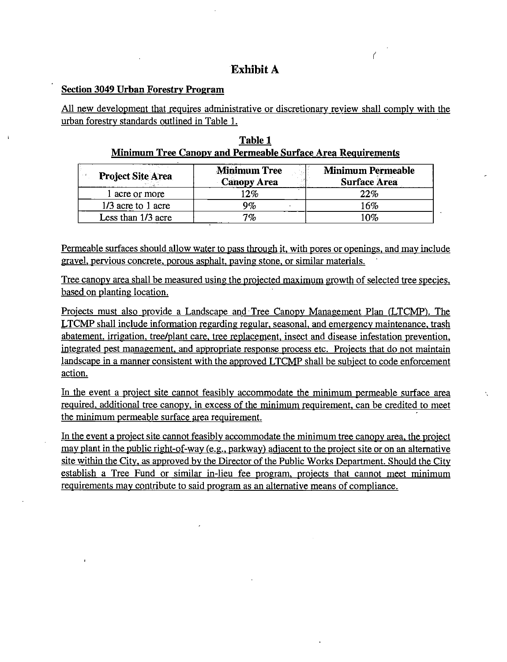# **Exhibit A**

#### **Section 3049 Urban Forestry Program**

All new development that requires administrative or discretionary review shall comply with the urban forestry standards outlined in Table 1.

|  | Table 1                                                     |  |
|--|-------------------------------------------------------------|--|
|  | Minimum Tree Canopy and Permeable Surface Area Requirements |  |

| <b>Project Site Area</b> | <b>Minimum Tree</b><br><b>Canopy Area</b> | <b>Minimum Permeable</b><br><b>Surface Area</b> |
|--------------------------|-------------------------------------------|-------------------------------------------------|
| l acre or more           | 12%                                       | 22%                                             |
| 1/3 acre to 1 acre       | 9%                                        | 16%                                             |
| Less than 1/3 acre       | 7%                                        | 10%                                             |

Permeable surfaces should allow water to pass through it, with pores or openings, and may include gravel, pervious concrete, porous asphalt, paving stone, or similar materials.

Tree canopy area shall be measured using the projected maximum growth of selected tree species, based on planting location.

Projects must also provide a Landscape and Tree Canopy Management Plan (LTCMP). The LTCMP shall include information regarding regular, seasonal, and emergency maintenance, trash abatement, irrigation, tree/plant care, tree replacement, insect and disease infestation prevention, integrated pest management, and appropriate response process etc. Projects that do not maintain landscape in a manner consistent with the approved LTCMP shall be subject to code enforcement action.

In the event a project site cannot feasibly accommodate the minimum permeable surface area required, additional tree canopy, in excess of the minimum requirement, can be credited to meet the minimum permeable surface area requirement.

In the event a project site cannot feasibly accommodate the minimum tree canopy area, the project may plant in the public right-of-way (e.g., parkway) adjacent to the project site or on an alternative site within the City, as approved by the Director of the Public Works Department. Should the City establish a Tree Fund or similar in-lieu fee program, projects that cannot meet minimum requirements may contribute to said program as an alternative means of compliance.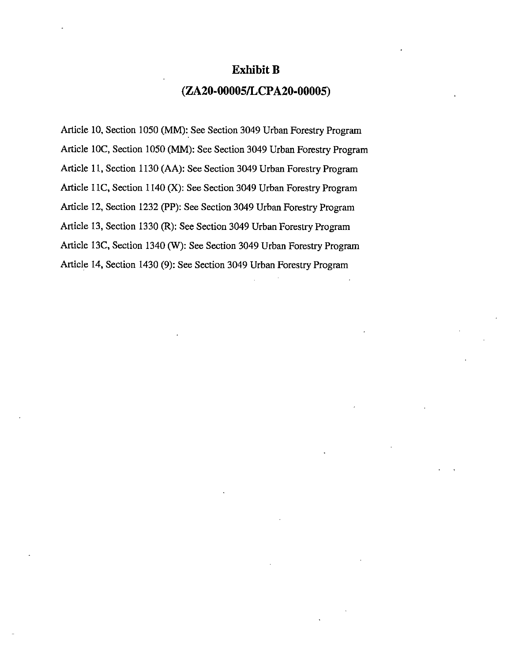# **Exhibit B**

## (ZA20-00005/LCPA20-00005)

Article 10, Section 1050 (MM): See Section 3049 Urban Forestry Program Article 10C, Section 1050 (MM): See Section 3049 Urban Forestry Program Article 11, Section 1130 (AA): See Section 3049 Urban Forestry Program Article 11C, Section 1140 (X): See Section 3049 Urban Forestry Program Article 12, Section 1232 (PP): See Section 3049 Urban Forestry Program Article 13, Section 1330 (R): See Section 3049 Urban Forestry Program Article 13C, Section 1340 (W): See Section 3049 Urban Forestry Program Article 14, Section 1430 (9): See Section 3049 Urban Forestry Program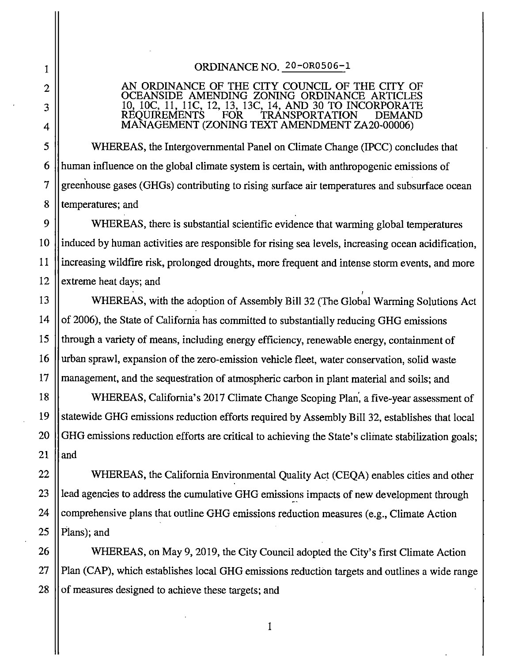#### ORDINANCE NO. 20-OR0506-1

## AN ORDINANCE OF THE CITY COUNCIL OF THE CITY OF OCEANSIDE AMENDING ZONING ORDINANCE ARTICI 10, 10C, 11, 11C, 12, 13, 13C, 14, AND 30 TO INCORPORATE<br>REQUIREMENTS FOR TRANSPORTATION DEMAND MANAGEMENT (ZONING TEXT AMENDMENT ZA20-00006)

WHEREAS, the Intergovernmental Panel on Climate Change (IPCC) concludes that human influence on the global climate system is certain, with anthropogenic emissions of greenhouse gases (GHGs) contributing to rising surface air temperatures and subsurface ocean temperatures; and

WHEREAS, there is substantial scientific evidence that warming global temperatures induced by human activities are responsible for rising sea levels, increasing ocean acidification, increasing wildfire risk, prolonged droughts, more frequent and intense storm events, and more extreme heat days; and

WHEREAS, with the adoption of Assembly Bill 32 (The Global Warming Solutions Act) of 2006), the State of California has committed to substantially reducing GHG emissions through a variety of means, including energy efficiency, renewable energy, containment of urban sprawl, expansion of the zero-emission vehicle fleet, water conservation, solid waste management, and the sequestration of atmospheric carbon in plant material and soils; and

WHEREAS, California's 2017 Climate Change Scoping Plan, a five-year assessment of statewide GHG emissions reduction efforts required by Assembly Bill 32, establishes that local GHG emissions reduction efforts are critical to achieving the State's climate stabilization goals; and

WHEREAS, the California Environmental Quality Act (CEQA) enables cities and other lead agencies to address the cumulative GHG emissions impacts of new development through comprehensive plans that outline GHG emissions reduction measures (e.g., Climate Action Plans); and

WHEREAS, on May 9, 2019, the City Council adopted the City's first Climate Action Plan (CAP), which establishes local GHG emissions reduction targets and outlines a wide range of measures designed to achieve these targets; and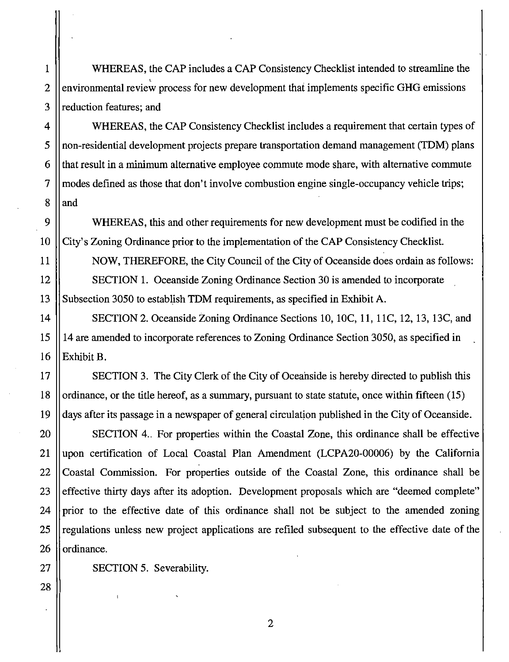WHEREAS, the CAP includes a CAP Consistency Checklist intended to streamline the environmental review process for new development that implements specific GHG emissions reduction features; and

WHEREAS, the CAP Consistency Checklist includes a requirement that certain types of non-residential development projects prepare transportation demand management (TDM) plans that result in a minimum alternative employee commute mode share, with alternative commute modes defined as those that don't involve combustion engine single-occupancy vehicle trips; and

WHEREAS, this and other requirements for new development must be codified in the City's Zoning Ordinance prior to the implementation of the CAP Consistency Checklist.

NOW, THEREFORE, the City Council of the City of Oceanside does ordain as follows: SECTION 1. Oceanside Zoning Ordinance Section 30 is amended to incorporate Subsection 3050 to establish TDM requirements, as specified in Exhibit A.

SECTION 2. Oceanside Zoning Ordinance Sections 10, 10C, 11, 11C, 12, 13, 13C, and 14 are amended to incorporate references to Zoning Ordinance Section 3050, as specified in Exhibit B.

SECTION 3. The City Clerk of the City of Oceanside is hereby directed to publish this ordinance, or the title hereof, as a summary, pursuant to state statute, once within fifteen (15) days after its passage in a newspaper of general circulation published in the City of Oceanside.

SECTION 4. For properties within the Coastal Zone, this ordinance shall be effective upon certification of Local Coastal Plan Amendment (LCPA20-00006) by the California Coastal Commission. For properties outside of the Coastal Zone, this ordinance shall be effective thirty days after its adoption. Development proposals which are "deemed complete" prior to the effective date of this ordinance shall not be subject to the amended zoning regulations unless new project applications are refiled subsequent to the effective date of the ordinance.

SECTION 5. Severability.

 $\mathbf{1}$ 

 $\overline{2}$ 

 $\overline{3}$ 

 $\overline{4}$ 

5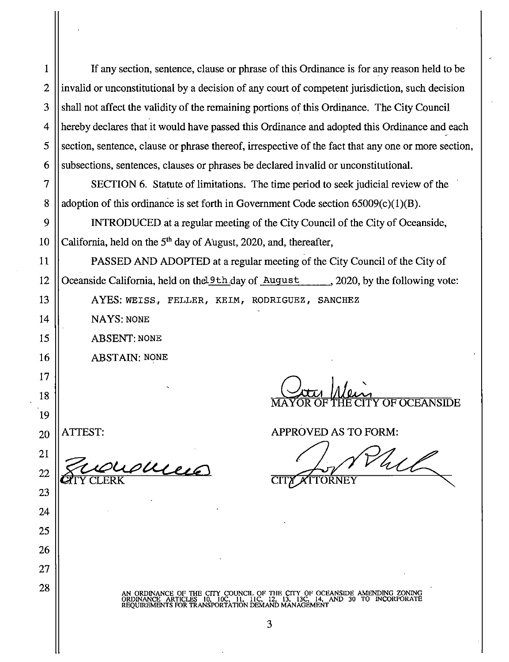$\mathbf{1}$ 

 $\overline{2}$ 

3

 $\boldsymbol{\varDelta}$ 

If any section, sentence, clause or phrase of this Ordinance is for any reason held to be invalid or unconstitutional by a decision of any court of competent jurisdiction, such decision shall not affect the validity of the remaining portions of this Ordinance. The City Council hereby declares that it would have passed this Ordinance and adopted this Ordinance and each section, sentence, clause or phrase thereof, irrespective of the fact that any one or more section, subsections, sentences, clauses or phrases be declared invalid or unconstitutional.

SECTION 6. Statute of limitations. The time period to seek judicial review of the adoption of this ordinance is set forth in Government Code section  $65009(c)(1)(B)$ .

INTRODUCED at a regular meeting of the City Council of the City of Oceanside, California, held on the 5<sup>th</sup> day of August, 2020, and, thereafter,

PASSED AND ADOPTED at a regular meeting of the City Council of the City of Oceanside California, held on the 19th day of August 2020, by the following vote:

AYES: WEISS, FELLER, KEIM, RODRIGUEZ, SANCHEZ

NAYS: NONE

**ABSENT: NONE** 

**ABSTAIN: NONE** 

succes

**OF OCEANSIDE** 

**APPROVED AS TO FORM:** 

What **ORNEY** 

AN ORDINANCE OF THE CITY COUNCIL OF THE CITY OF OCEANSIDE AMENDING ZONING (DRDINANCE ARTICLES 10, 10C, 11, 11C, 12, 13, 13C, 14, AND 30 TO INCORPORATE REQUIREMENTS FOR TRANSPORTATION DEMAND MANAGEMENT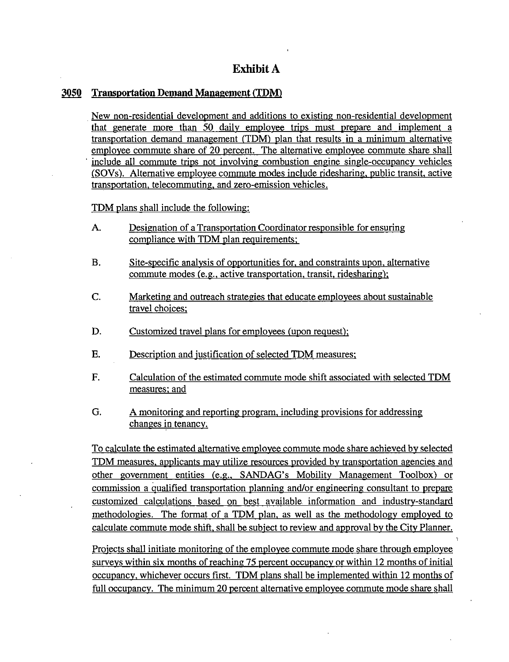# **Exhibit A**

#### 3050 **Transportation Demand Management (TDM)**

New non-residential development and additions to existing non-residential development that generate more than 50 daily employee trips must prepare and implement a transportation demand management (TDM) plan that results in a minimum alternative employee commute share of 20 percent. The alternative employee commute share shall include all commute trips not involving combustion engine single-occupancy vehicles (SOVs). Alternative employee commute modes include ridesharing, public transit, active transportation, telecommuting, and zero-emission vehicles.

TDM plans shall include the following:

- Designation of a Transportation Coordinator responsible for ensuring A. compliance with TDM plan requirements;
- **B.** Site-specific analysis of opportunities for, and constraints upon, alternative commute modes (e.g., active transportation, transit, ridesharing);
- C. Marketing and outreach strategies that educate employees about sustainable travel choices:
- D. Customized travel plans for employees (upon request);
- **E.** Description and justification of selected TDM measures;
- F. Calculation of the estimated commute mode shift associated with selected TDM measures; and
- G. A monitoring and reporting program, including provisions for addressing changes in tenancy.

To calculate the estimated alternative employee commute mode share achieved by selected TDM measures, applicants may utilize resources provided by transportation agencies and other government entities (e.g., SANDAG's Mobility Management Toolbox) or commission a qualified transportation planning and/or engineering consultant to prepare customized calculations based on best available information and industry-standard methodologies. The format of a TDM plan, as well as the methodology employed to calculate commute mode shift, shall be subject to review and approval by the City Planner.

Projects shall initiate monitoring of the employee commute mode share through employee surveys within six months of reaching 75 percent occupancy or within 12 months of initial occupancy, whichever occurs first. TDM plans shall be implemented within 12 months of full occupancy. The minimum 20 percent alternative employee commute mode share shall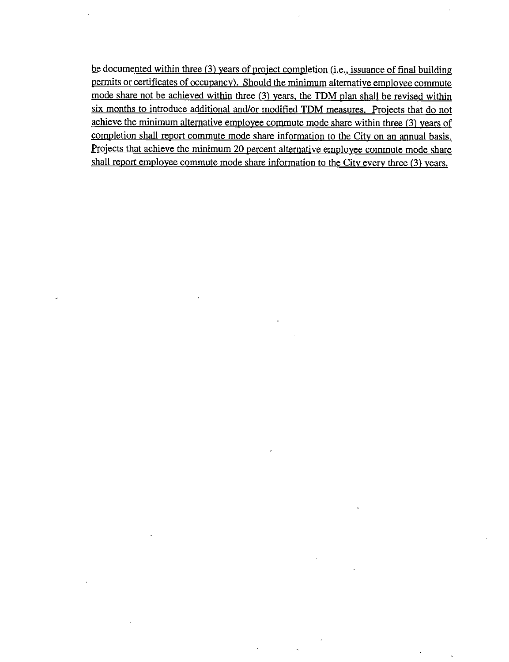be documented within three (3) years of project completion (i.e., issuance of final building permits or certificates of occupancy). Should the minimum alternative employee commute mode share not be achieved within three (3) years, the TDM plan shall be revised within six months to introduce additional and/or modified TDM measures. Projects that do not achieve the minimum alternative employee commute mode share within three (3) years of completion shall report commute mode share information to the City on an annual basis. Projects that achieve the minimum 20 percent alternative employee commute mode share shall report employee commute mode share information to the City every three (3) years.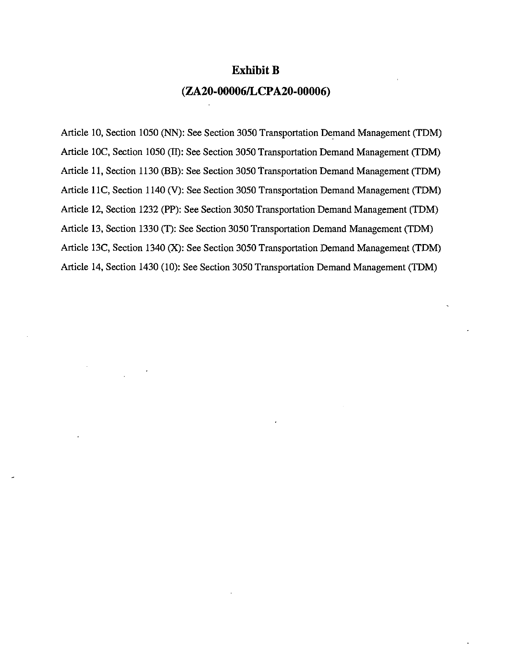### **Exhibit B**

### (ZA20-00006/LCPA20-00006)

Article 10, Section 1050 (NN): See Section 3050 Transportation Demand Management (TDM) Article 10C, Section 1050 (II): See Section 3050 Transportation Demand Management (TDM) Article 11, Section 1130 (BB): See Section 3050 Transportation Demand Management (TDM) Article 11C, Section 1140 (V): See Section 3050 Transportation Demand Management (TDM) Article 12, Section 1232 (PP): See Section 3050 Transportation Demand Management (TDM) Article 13, Section 1330 (T): See Section 3050 Transportation Demand Management (TDM) Article 13C, Section 1340 (X): See Section 3050 Transportation Demand Management (TDM) Article 14, Section 1430 (10): See Section 3050 Transportation Demand Management (TDM)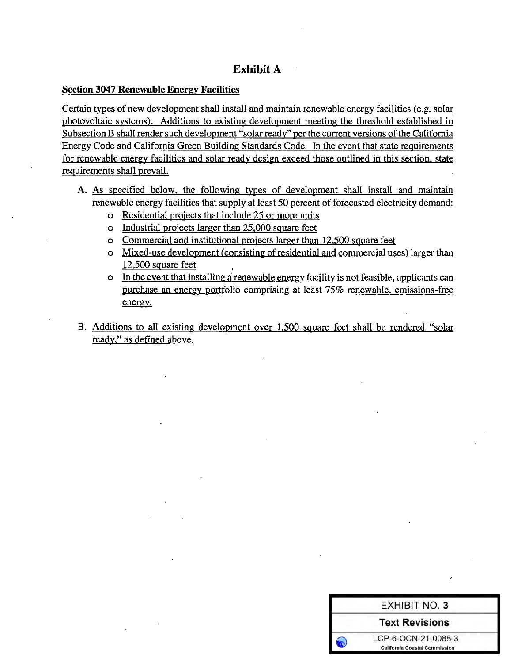# **Exhibit A**

#### **Section 3047 Renewable Energy Facilities**

Certain types of new development shall install and maintain renewable energy facilities (e.g. solar photovoltaic systems). Additions to existing development meeting the threshold established in Subsection B shall render such development "solar ready" per the current versions of the California Energy Code and California Green Building Standards Code. In the event that state requirements for renewable energy facilities and solar ready design exceed those outlined in this section, state requirements shall prevail.

- A. As specified below, the following types of development shall install and maintain renewable energy facilities that supply at least 50 percent of forecasted electricity demand:
	- o Residential projects that include 25 or more units
	- o Industrial projects larger than 25,000 square feet
	- o Commercial and institutional projects larger than 12,500 square feet
	- o Mixed-use development (consisting of residential and commercial uses) larger than  $12,500$  square feet
	- o In the event that installing a renewable energy facility is not feasible, applicants can purchase an energy portfolio comprising at least 75% renewable, emissions-free energy.
- B. Additions to all existing development over 1,500 square feet shall be rendered "solar ready," as defined above.

| <b>EXHIBIT NO. 3</b>                                        |  |
|-------------------------------------------------------------|--|
| <b>Text Revisions</b>                                       |  |
| LCP-6-OCN-21-0088-3<br><b>California Coastal Commission</b> |  |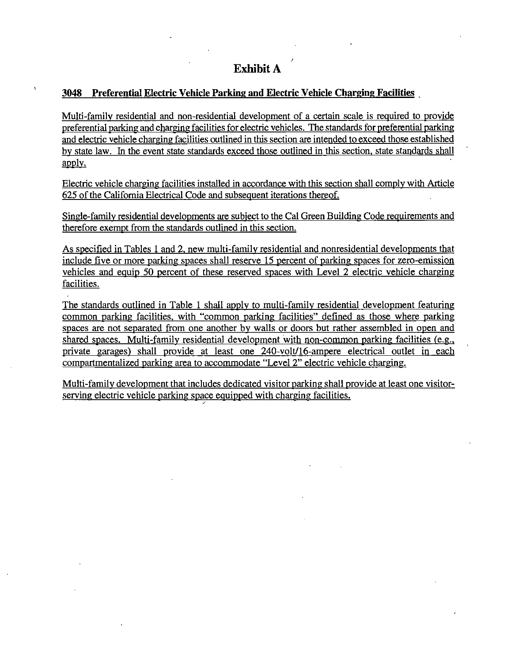#### 3048 Preferential Electric Vehicle Parking and Electric Vehicle Charging Facilities

Multi-family residential and non-residential development of a certain scale is required to provide preferential parking and charging facilities for electric vehicles. The standards for preferential parking and electric vehicle charging facilities outlined in this section are intended to exceed those established by state law. In the event state standards exceed those outlined in this section, state standards shall apply.

Electric vehicle charging facilities installed in accordance with this section shall comply with Article 625 of the California Electrical Code and subsequent iterations thereof.

Single-family residential developments are subject to the Cal Green Building Code requirements and therefore exempt from the standards outlined in this section.

As specified in Tables 1 and 2, new multi-family residential and nonresidential developments that include five or more parking spaces shall reserve 15 percent of parking spaces for zero-emission vehicles and equip 50 percent of these reserved spaces with Level 2 electric vehicle charging facilities.

The standards outlined in Table 1 shall apply to multi-family residential development featuring common parking facilities, with "common parking facilities" defined as those where parking spaces are not separated from one another by walls or doors but rather assembled in open and shared spaces. Multi-family residential development with non-common parking facilities (e.g., private garages) shall provide at least one 240-volt/16-ampere electrical outlet in each compartmentalized parking area to accommodate "Level 2" electric vehicle charging.

Multi-family development that includes dedicated visitor parking shall provide at least one visitorserving electric vehicle parking space equipped with charging facilities.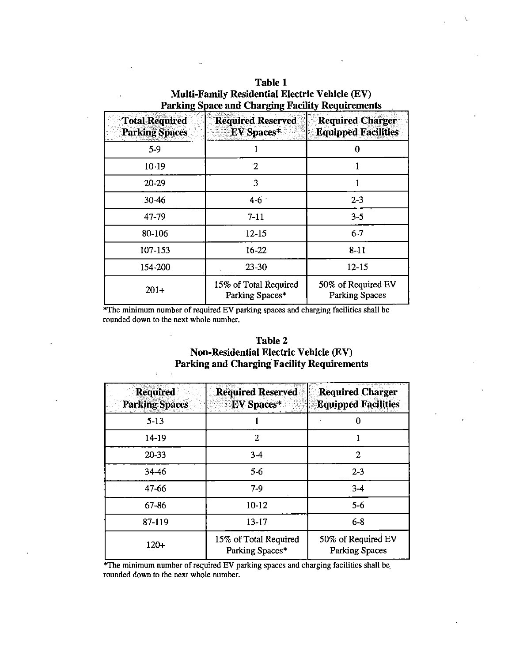| Table 1                                                 |
|---------------------------------------------------------|
| <b>Multi-Family Residential Electric Vehicle (EV)</b>   |
| <b>Parking Space and Charging Facility Requirements</b> |

 $\mathbf{t}$ 

| <b>Total Required</b><br><b>Parking Spaces</b> | <b>Required Reserved</b><br>${\rm EV}$ Spaces $^*$ | <b>Required Charger</b><br><b>Equipped Facilities</b> |
|------------------------------------------------|----------------------------------------------------|-------------------------------------------------------|
| $5-9$                                          |                                                    | 0                                                     |
| $10 - 19$                                      | 2                                                  |                                                       |
| 20-29                                          | 3                                                  |                                                       |
| $30 - 46$                                      | $4 - 6$                                            | $2 - 3$                                               |
| 47-79                                          | $7 - 11$                                           | $3 - 5$                                               |
| 80-106                                         | $12 - 15$                                          | $6 - 7$                                               |
| 107-153                                        | $16 - 22$                                          | $8 - 11$                                              |
| 154-200                                        | $23 - 30$                                          | $12 - 15$                                             |
| $201+$                                         | 15% of Total Required<br>Parking Spaces*           | 50% of Required EV<br><b>Parking Spaces</b>           |

l.

\*The minimum number of required EV parking spaces and charging facilities shall be rounded down to the next whole number.

L.

 $\chi$  $\ddot{\phantom{a}}$ 

| <b>Table 2</b>                                    |
|---------------------------------------------------|
| <b>Non-Residential Electric Vehicle (EV)</b>      |
| <b>Parking and Charging Facility Requirements</b> |

| <b>Required</b><br><b>Parking Spaces</b> | <b>Required Reserved</b><br><b>EV</b> Spaces* | <b>Required Charger</b><br><b>Equipped Facilities</b> |
|------------------------------------------|-----------------------------------------------|-------------------------------------------------------|
| $5 - 13$                                 |                                               |                                                       |
| 14-19                                    | 2                                             |                                                       |
| 20-33                                    | $3-4$                                         | 2                                                     |
| 34-46                                    | $5-6$                                         | $2 - 3$                                               |
| 47-66                                    | $7-9$                                         | $3-4$                                                 |
| 67-86                                    | $10 - 12$                                     | $5-6$                                                 |
| 87-119                                   | $13 - 17$                                     | $6 - 8$                                               |
| $120+$                                   | 15% of Total Required<br>Parking Spaces*      | 50% of Required EV<br><b>Parking Spaces</b>           |

\*The minimum number of required EV parking spaces and charging facilities shall be rounded down to the next whole number.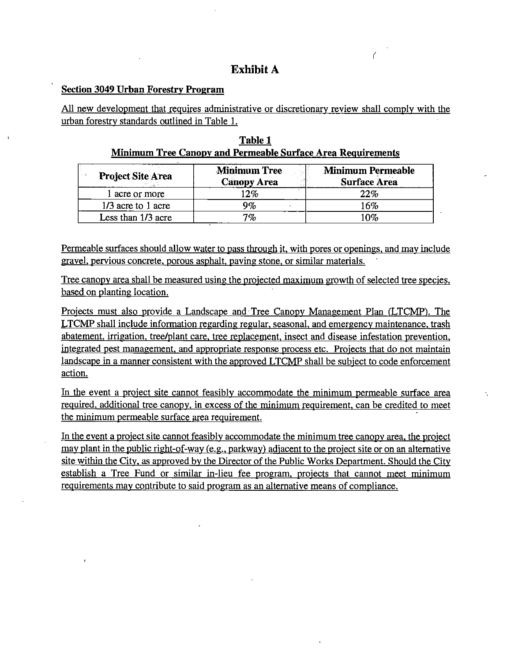# **Exhibit A**

#### **Section 3049 Urban Forestry Program**

All new development that requires administrative or discretionary review shall comply with the urban forestry standards outlined in Table 1.

|  | Table 1                                                     |  |
|--|-------------------------------------------------------------|--|
|  | Minimum Tree Canopy and Permeable Surface Area Requirements |  |

| <b>Project Site Area</b> | <b>Minimum Tree</b><br><b>Canopy Area</b> | <b>Minimum Permeable</b><br><b>Surface Area</b> |
|--------------------------|-------------------------------------------|-------------------------------------------------|
| l acre or more           | 12%                                       | 22%                                             |
| 1/3 acre to 1 acre       | 9%                                        | 16%                                             |
| Less than 1/3 acre       | 7%                                        | 10%                                             |

Permeable surfaces should allow water to pass through it, with pores or openings, and may include gravel, pervious concrete, porous asphalt, paving stone, or similar materials.

Tree canopy area shall be measured using the projected maximum growth of selected tree species, based on planting location.

Projects must also provide a Landscape and Tree Canopy Management Plan (LTCMP). The LTCMP shall include information regarding regular, seasonal, and emergency maintenance, trash abatement, irrigation, tree/plant care, tree replacement, insect and disease infestation prevention, integrated pest management, and appropriate response process etc. Projects that do not maintain landscape in a manner consistent with the approved LTCMP shall be subject to code enforcement action.

In the event a project site cannot feasibly accommodate the minimum permeable surface area required, additional tree canopy, in excess of the minimum requirement, can be credited to meet the minimum permeable surface area requirement.

In the event a project site cannot feasibly accommodate the minimum tree canopy area, the project may plant in the public right-of-way (e.g., parkway) adjacent to the project site or on an alternative site within the City, as approved by the Director of the Public Works Department. Should the City establish a Tree Fund or similar in-lieu fee program, projects that cannot meet minimum requirements may contribute to said program as an alternative means of compliance.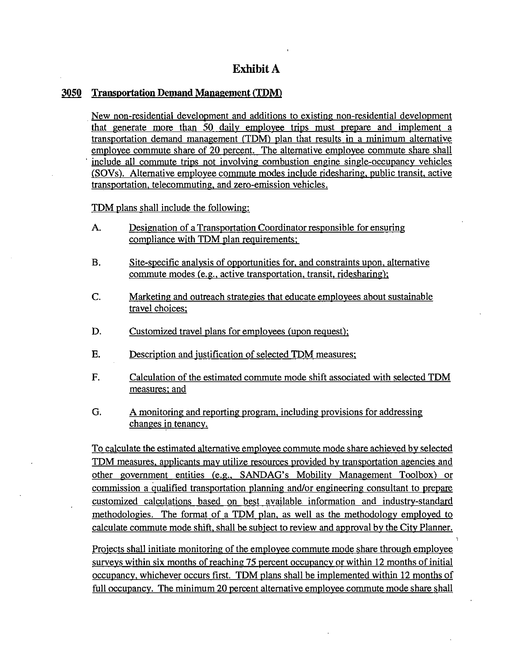# **Exhibit A**

#### 3050 **Transportation Demand Management (TDM)**

New non-residential development and additions to existing non-residential development that generate more than 50 daily employee trips must prepare and implement a transportation demand management (TDM) plan that results in a minimum alternative employee commute share of 20 percent. The alternative employee commute share shall include all commute trips not involving combustion engine single-occupancy vehicles (SOVs). Alternative employee commute modes include ridesharing, public transit, active transportation, telecommuting, and zero-emission vehicles.

TDM plans shall include the following:

- Designation of a Transportation Coordinator responsible for ensuring A. compliance with TDM plan requirements;
- **B.** Site-specific analysis of opportunities for, and constraints upon, alternative commute modes (e.g., active transportation, transit, ridesharing);
- C. Marketing and outreach strategies that educate employees about sustainable travel choices:
- D. Customized travel plans for employees (upon request);
- **E.** Description and justification of selected TDM measures;
- F. Calculation of the estimated commute mode shift associated with selected TDM measures; and
- G. A monitoring and reporting program, including provisions for addressing changes in tenancy.

To calculate the estimated alternative employee commute mode share achieved by selected TDM measures, applicants may utilize resources provided by transportation agencies and other government entities (e.g., SANDAG's Mobility Management Toolbox) or commission a qualified transportation planning and/or engineering consultant to prepare customized calculations based on best available information and industry-standard methodologies. The format of a TDM plan, as well as the methodology employed to calculate commute mode shift, shall be subject to review and approval by the City Planner.

Projects shall initiate monitoring of the employee commute mode share through employee surveys within six months of reaching 75 percent occupancy or within 12 months of initial occupancy, whichever occurs first. TDM plans shall be implemented within 12 months of full occupancy. The minimum 20 percent alternative employee commute mode share shall